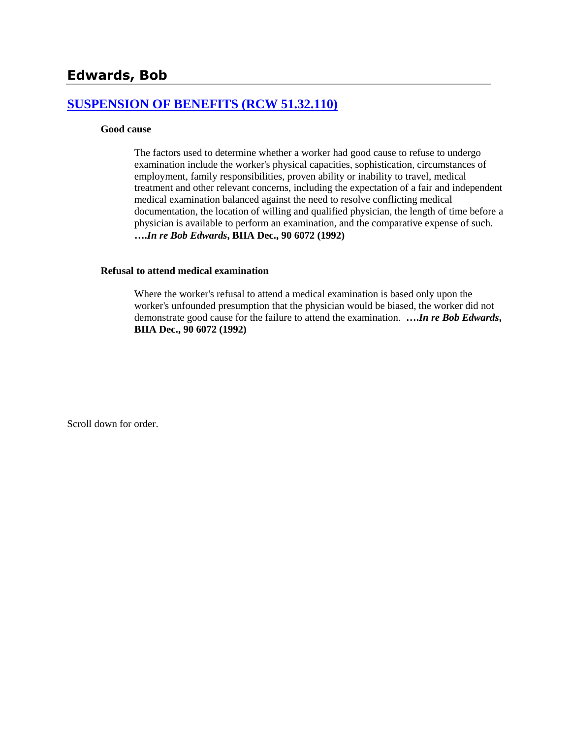# **[SUSPENSION OF BENEFITS \(RCW 51.32.110\)](http://www.biia.wa.gov/SDSubjectIndex.html#SUSPENSION_OF_BENEFITS)**

#### **Good cause**

The factors used to determine whether a worker had good cause to refuse to undergo examination include the worker's physical capacities, sophistication, circumstances of employment, family responsibilities, proven ability or inability to travel, medical treatment and other relevant concerns, including the expectation of a fair and independent medical examination balanced against the need to resolve conflicting medical documentation, the location of willing and qualified physician, the length of time before a physician is available to perform an examination, and the comparative expense of such. **….***In re Bob Edwards***, BIIA Dec., 90 6072 (1992)**

#### **Refusal to attend medical examination**

Where the worker's refusal to attend a medical examination is based only upon the worker's unfounded presumption that the physician would be biased, the worker did not demonstrate good cause for the failure to attend the examination. **….***In re Bob Edwards***, BIIA Dec., 90 6072 (1992)** 

Scroll down for order.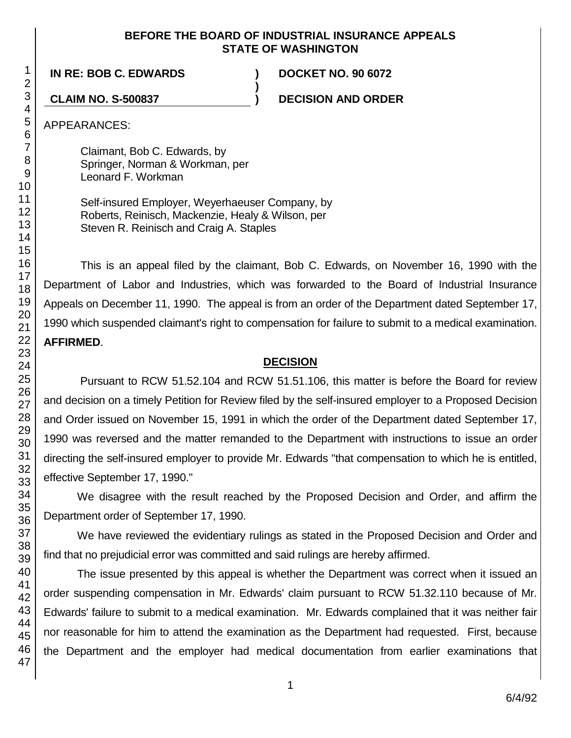### **BEFORE THE BOARD OF INDUSTRIAL INSURANCE APPEALS STATE OF WASHINGTON**

**)**

**IN RE: BOB C. EDWARDS ) DOCKET NO. 90 6072**

**CLAIM NO. S-500837 ) DECISION AND ORDER**

APPEARANCES:

Claimant, Bob C. Edwards, by Springer, Norman & Workman, per Leonard F. Workman

Self-insured Employer, Weyerhaeuser Company, by Roberts, Reinisch, Mackenzie, Healy & Wilson, per Steven R. Reinisch and Craig A. Staples

This is an appeal filed by the claimant, Bob C. Edwards, on November 16, 1990 with the Department of Labor and Industries, which was forwarded to the Board of Industrial Insurance Appeals on December 11, 1990. The appeal is from an order of the Department dated September 17, 1990 which suspended claimant's right to compensation for failure to submit to a medical examination. **AFFIRMED**.

# **DECISION**

Pursuant to RCW 51.52.104 and RCW 51.51.106, this matter is before the Board for review and decision on a timely Petition for Review filed by the self-insured employer to a Proposed Decision and Order issued on November 15, 1991 in which the order of the Department dated September 17, 1990 was reversed and the matter remanded to the Department with instructions to issue an order directing the self-insured employer to provide Mr. Edwards "that compensation to which he is entitled, effective September 17, 1990."

We disagree with the result reached by the Proposed Decision and Order, and affirm the Department order of September 17, 1990.

We have reviewed the evidentiary rulings as stated in the Proposed Decision and Order and find that no prejudicial error was committed and said rulings are hereby affirmed.

The issue presented by this appeal is whether the Department was correct when it issued an order suspending compensation in Mr. Edwards' claim pursuant to RCW 51.32.110 because of Mr. Edwards' failure to submit to a medical examination. Mr. Edwards complained that it was neither fair nor reasonable for him to attend the examination as the Department had requested. First, because the Department and the employer had medical documentation from earlier examinations that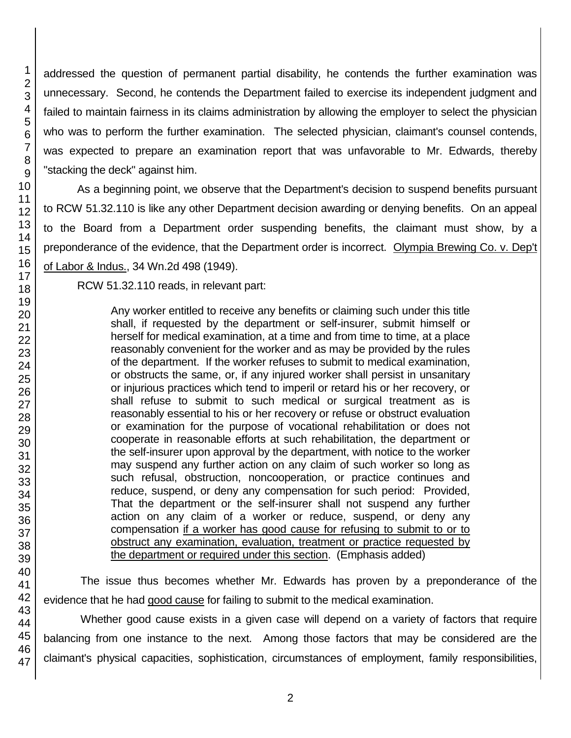addressed the question of permanent partial disability, he contends the further examination was unnecessary. Second, he contends the Department failed to exercise its independent judgment and failed to maintain fairness in its claims administration by allowing the employer to select the physician who was to perform the further examination. The selected physician, claimant's counsel contends, was expected to prepare an examination report that was unfavorable to Mr. Edwards, thereby "stacking the deck" against him.

As a beginning point, we observe that the Department's decision to suspend benefits pursuant to RCW 51.32.110 is like any other Department decision awarding or denying benefits. On an appeal to the Board from a Department order suspending benefits, the claimant must show, by a preponderance of the evidence, that the Department order is incorrect. Olympia Brewing Co. v. Dep't of Labor & Indus., 34 Wn.2d 498 (1949).

RCW 51.32.110 reads, in relevant part:

Any worker entitled to receive any benefits or claiming such under this title shall, if requested by the department or self-insurer, submit himself or herself for medical examination, at a time and from time to time, at a place reasonably convenient for the worker and as may be provided by the rules of the department. If the worker refuses to submit to medical examination, or obstructs the same, or, if any injured worker shall persist in unsanitary or injurious practices which tend to imperil or retard his or her recovery, or shall refuse to submit to such medical or surgical treatment as is reasonably essential to his or her recovery or refuse or obstruct evaluation or examination for the purpose of vocational rehabilitation or does not cooperate in reasonable efforts at such rehabilitation, the department or the self-insurer upon approval by the department, with notice to the worker may suspend any further action on any claim of such worker so long as such refusal, obstruction, noncooperation, or practice continues and reduce, suspend, or deny any compensation for such period: Provided, That the department or the self-insurer shall not suspend any further action on any claim of a worker or reduce, suspend, or deny any compensation if a worker has good cause for refusing to submit to or to obstruct any examination, evaluation, treatment or practice requested by the department or required under this section. (Emphasis added)

The issue thus becomes whether Mr. Edwards has proven by a preponderance of the evidence that he had good cause for failing to submit to the medical examination.

Whether good cause exists in a given case will depend on a variety of factors that require balancing from one instance to the next. Among those factors that may be considered are the claimant's physical capacities, sophistication, circumstances of employment, family responsibilities,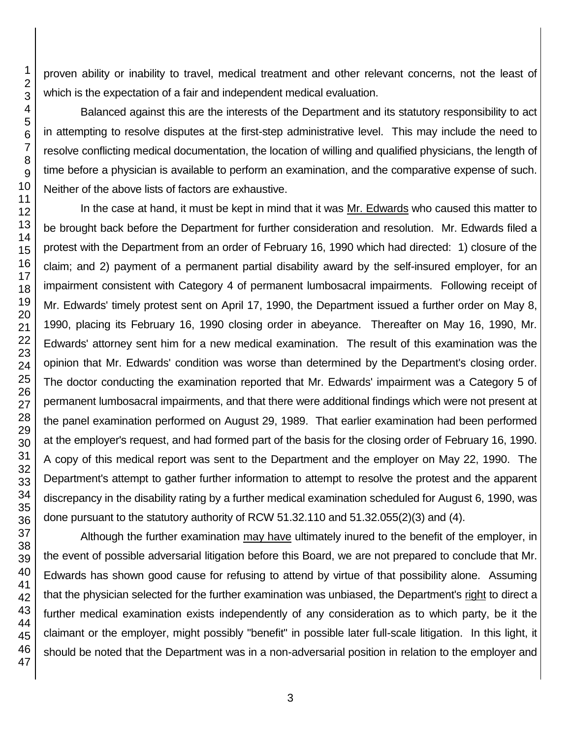proven ability or inability to travel, medical treatment and other relevant concerns, not the least of which is the expectation of a fair and independent medical evaluation.

Balanced against this are the interests of the Department and its statutory responsibility to act in attempting to resolve disputes at the first-step administrative level. This may include the need to resolve conflicting medical documentation, the location of willing and qualified physicians, the length of time before a physician is available to perform an examination, and the comparative expense of such. Neither of the above lists of factors are exhaustive.

In the case at hand, it must be kept in mind that it was Mr. Edwards who caused this matter to be brought back before the Department for further consideration and resolution. Mr. Edwards filed a protest with the Department from an order of February 16, 1990 which had directed: 1) closure of the claim; and 2) payment of a permanent partial disability award by the self-insured employer, for an impairment consistent with Category 4 of permanent lumbosacral impairments. Following receipt of Mr. Edwards' timely protest sent on April 17, 1990, the Department issued a further order on May 8, 1990, placing its February 16, 1990 closing order in abeyance. Thereafter on May 16, 1990, Mr. Edwards' attorney sent him for a new medical examination. The result of this examination was the opinion that Mr. Edwards' condition was worse than determined by the Department's closing order. The doctor conducting the examination reported that Mr. Edwards' impairment was a Category 5 of permanent lumbosacral impairments, and that there were additional findings which were not present at the panel examination performed on August 29, 1989. That earlier examination had been performed at the employer's request, and had formed part of the basis for the closing order of February 16, 1990. A copy of this medical report was sent to the Department and the employer on May 22, 1990. The Department's attempt to gather further information to attempt to resolve the protest and the apparent discrepancy in the disability rating by a further medical examination scheduled for August 6, 1990, was done pursuant to the statutory authority of RCW 51.32.110 and 51.32.055(2)(3) and (4).

Although the further examination may have ultimately inured to the benefit of the employer, in the event of possible adversarial litigation before this Board, we are not prepared to conclude that Mr. Edwards has shown good cause for refusing to attend by virtue of that possibility alone. Assuming that the physician selected for the further examination was unbiased, the Department's right to direct a further medical examination exists independently of any consideration as to which party, be it the claimant or the employer, might possibly "benefit" in possible later full-scale litigation. In this light, it should be noted that the Department was in a non-adversarial position in relation to the employer and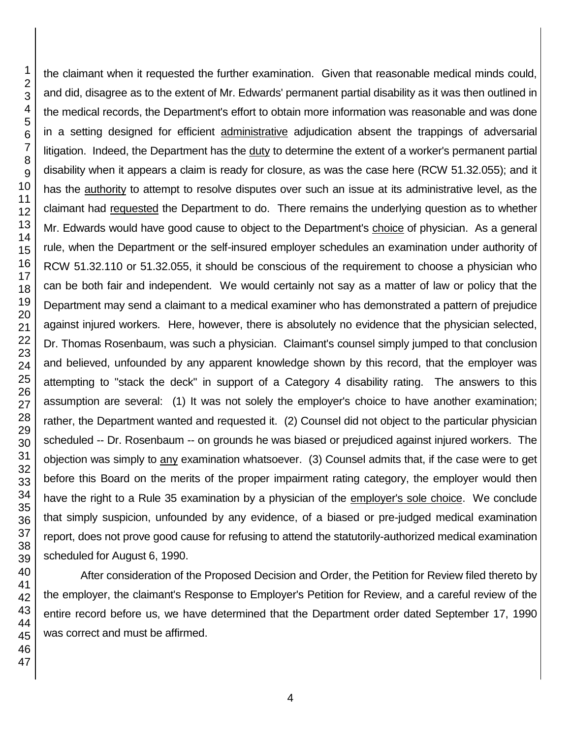the claimant when it requested the further examination. Given that reasonable medical minds could, and did, disagree as to the extent of Mr. Edwards' permanent partial disability as it was then outlined in the medical records, the Department's effort to obtain more information was reasonable and was done in a setting designed for efficient administrative adjudication absent the trappings of adversarial litigation. Indeed, the Department has the duty to determine the extent of a worker's permanent partial disability when it appears a claim is ready for closure, as was the case here (RCW 51.32.055); and it has the authority to attempt to resolve disputes over such an issue at its administrative level, as the claimant had requested the Department to do. There remains the underlying question as to whether Mr. Edwards would have good cause to object to the Department's choice of physician. As a general rule, when the Department or the self-insured employer schedules an examination under authority of RCW 51.32.110 or 51.32.055, it should be conscious of the requirement to choose a physician who can be both fair and independent. We would certainly not say as a matter of law or policy that the Department may send a claimant to a medical examiner who has demonstrated a pattern of prejudice against injured workers. Here, however, there is absolutely no evidence that the physician selected, Dr. Thomas Rosenbaum, was such a physician. Claimant's counsel simply jumped to that conclusion and believed, unfounded by any apparent knowledge shown by this record, that the employer was attempting to "stack the deck" in support of a Category 4 disability rating. The answers to this assumption are several: (1) It was not solely the employer's choice to have another examination; rather, the Department wanted and requested it. (2) Counsel did not object to the particular physician scheduled -- Dr. Rosenbaum -- on grounds he was biased or prejudiced against injured workers. The objection was simply to any examination whatsoever. (3) Counsel admits that, if the case were to get before this Board on the merits of the proper impairment rating category, the employer would then have the right to a Rule 35 examination by a physician of the employer's sole choice. We conclude that simply suspicion, unfounded by any evidence, of a biased or pre-judged medical examination report, does not prove good cause for refusing to attend the statutorily-authorized medical examination scheduled for August 6, 1990.

After consideration of the Proposed Decision and Order, the Petition for Review filed thereto by the employer, the claimant's Response to Employer's Petition for Review, and a careful review of the entire record before us, we have determined that the Department order dated September 17, 1990 was correct and must be affirmed.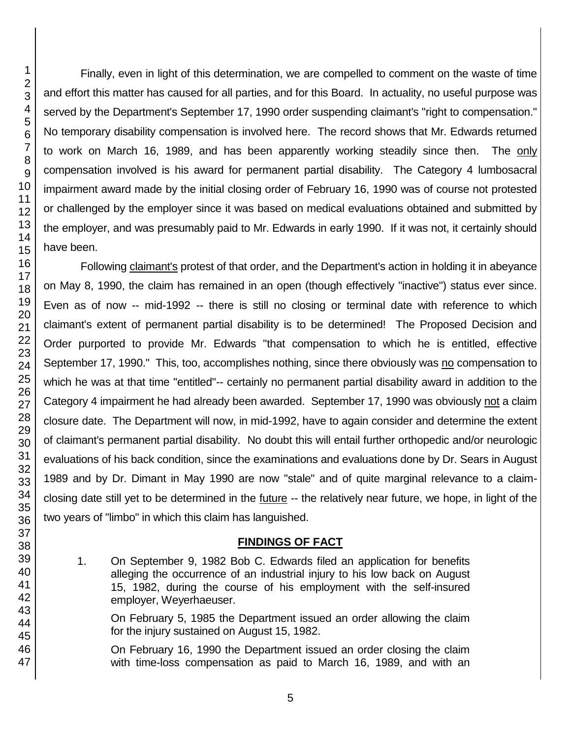Finally, even in light of this determination, we are compelled to comment on the waste of time and effort this matter has caused for all parties, and for this Board. In actuality, no useful purpose was served by the Department's September 17, 1990 order suspending claimant's "right to compensation." No temporary disability compensation is involved here. The record shows that Mr. Edwards returned to work on March 16, 1989, and has been apparently working steadily since then. The only compensation involved is his award for permanent partial disability. The Category 4 lumbosacral impairment award made by the initial closing order of February 16, 1990 was of course not protested or challenged by the employer since it was based on medical evaluations obtained and submitted by the employer, and was presumably paid to Mr. Edwards in early 1990. If it was not, it certainly should have been.

Following claimant's protest of that order, and the Department's action in holding it in abeyance on May 8, 1990, the claim has remained in an open (though effectively "inactive") status ever since. Even as of now -- mid-1992 -- there is still no closing or terminal date with reference to which claimant's extent of permanent partial disability is to be determined! The Proposed Decision and Order purported to provide Mr. Edwards "that compensation to which he is entitled, effective September 17, 1990." This, too, accomplishes nothing, since there obviously was no compensation to which he was at that time "entitled"-- certainly no permanent partial disability award in addition to the Category 4 impairment he had already been awarded. September 17, 1990 was obviously not a claim closure date. The Department will now, in mid-1992, have to again consider and determine the extent of claimant's permanent partial disability. No doubt this will entail further orthopedic and/or neurologic evaluations of his back condition, since the examinations and evaluations done by Dr. Sears in August 1989 and by Dr. Dimant in May 1990 are now "stale" and of quite marginal relevance to a claimclosing date still yet to be determined in the future -- the relatively near future, we hope, in light of the two years of "limbo" in which this claim has languished.

# **FINDINGS OF FACT**

1. On September 9, 1982 Bob C. Edwards filed an application for benefits alleging the occurrence of an industrial injury to his low back on August 15, 1982, during the course of his employment with the self-insured employer, Weyerhaeuser.

On February 5, 1985 the Department issued an order allowing the claim for the injury sustained on August 15, 1982.

On February 16, 1990 the Department issued an order closing the claim with time-loss compensation as paid to March 16, 1989, and with an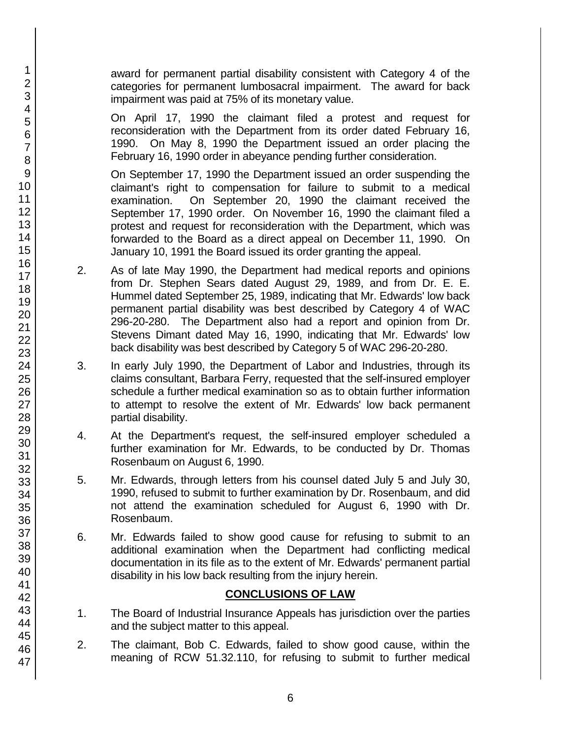award for permanent partial disability consistent with Category 4 of the categories for permanent lumbosacral impairment. The award for back impairment was paid at 75% of its monetary value.

On April 17, 1990 the claimant filed a protest and request for reconsideration with the Department from its order dated February 16, 1990. On May 8, 1990 the Department issued an order placing the February 16, 1990 order in abeyance pending further consideration.

On September 17, 1990 the Department issued an order suspending the claimant's right to compensation for failure to submit to a medical examination. On September 20, 1990 the claimant received the September 17, 1990 order. On November 16, 1990 the claimant filed a protest and request for reconsideration with the Department, which was forwarded to the Board as a direct appeal on December 11, 1990. On January 10, 1991 the Board issued its order granting the appeal.

- 2. As of late May 1990, the Department had medical reports and opinions from Dr. Stephen Sears dated August 29, 1989, and from Dr. E. E. Hummel dated September 25, 1989, indicating that Mr. Edwards' low back permanent partial disability was best described by Category 4 of WAC 296-20-280. The Department also had a report and opinion from Dr. Stevens Dimant dated May 16, 1990, indicating that Mr. Edwards' low back disability was best described by Category 5 of WAC 296-20-280.
- 3. In early July 1990, the Department of Labor and Industries, through its claims consultant, Barbara Ferry, requested that the self-insured employer schedule a further medical examination so as to obtain further information to attempt to resolve the extent of Mr. Edwards' low back permanent partial disability.
- 4. At the Department's request, the self-insured employer scheduled a further examination for Mr. Edwards, to be conducted by Dr. Thomas Rosenbaum on August 6, 1990.
- 5. Mr. Edwards, through letters from his counsel dated July 5 and July 30, 1990, refused to submit to further examination by Dr. Rosenbaum, and did not attend the examination scheduled for August 6, 1990 with Dr. Rosenbaum.
- 6. Mr. Edwards failed to show good cause for refusing to submit to an additional examination when the Department had conflicting medical documentation in its file as to the extent of Mr. Edwards' permanent partial disability in his low back resulting from the injury herein.

# **CONCLUSIONS OF LAW**

- 1. The Board of Industrial Insurance Appeals has jurisdiction over the parties and the subject matter to this appeal.
- 2. The claimant, Bob C. Edwards, failed to show good cause, within the meaning of RCW 51.32.110, for refusing to submit to further medical
- 2 3 4 5 6 7 8 9 10 11 12 13 14 15 16 17 18 19 20 21 22 23 24 25 26 27 28 29 30 31 32 33 34 35 36 37 38 39 40 41 42 43 44 45 46 47